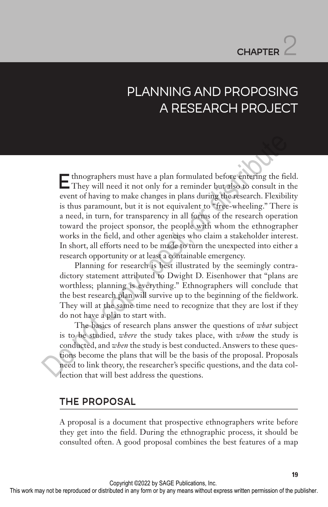# PLANNING AND PROPOSING A RESEARCH PROJECT

Ethnographers must have a plan formulated before entering the field. They will need it not only for a reminder but also to consult in the event of having to make changes in plans during the research. Flexibility is thus paramount, but it is not equivalent to "free-wheeling." There is a need, in turn, for transparency in all forms of the research operation toward the project sponsor, the people with whom the ethnographer works in the field, and other agencies who claim a stakeholder interest. In short, all efforts need to be made to turn the unexpected into either a research opportunity or at least a containable emergency. **E** they will need it not only for a remulated before entering the fit conduction. They will need it not only for a reminder but also to consult in event of having to make changes in plans during the research. Flexibilis

Planning for research is best illustrated by the seemingly contradictory statement attributed to Dwight D. Eisenhower that "plans are worthless; planning is everything." Ethnographers will conclude that the best research plan will survive up to the beginning of the fieldwork. They will at the same time need to recognize that they are lost if they do not have a plan to start with.

The basics of research plans answer the questions of *what* subject is to be studied, *where* the study takes place, with *whom* the study is conducted, and *when* the study is best conducted. Answers to these questions become the plans that will be the basis of the proposal. Proposals need to link theory, the researcher's specific questions, and the data collection that will best address the questions.

# **THE PROPOSAL**

A proposal is a document that prospective ethnographers write before they get into the field. During the ethnographic process, it should be consulted often. A good proposal combines the best features of a map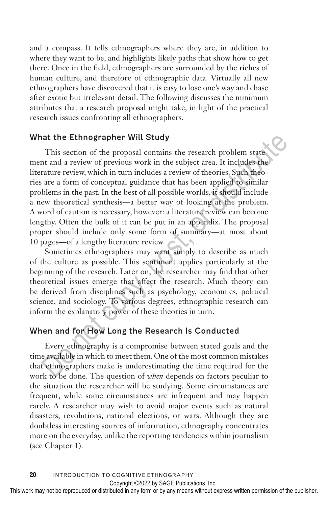and a compass. It tells ethnographers where they are, in addition to where they want to be, and highlights likely paths that show how to get there. Once in the field, ethnographers are surrounded by the riches of human culture, and therefore of ethnographic data. Virtually all new ethnographers have discovered that it is easy to lose one's way and chase after exotic but irrelevant detail. The following discusses the minimum attributes that a research proposal might take, in light of the practical research issues confronting all ethnographers.

#### **What the Ethnographer Will Study**

This section of the proposal contains the research problem statement and a review of previous work in the subject area. It includes the literature review, which in turn includes a review of theories. Such theories are a form of conceptual guidance that has been applied to similar problems in the past. In the best of all possible worlds, it should include a new theoretical synthesis—a better way of looking at the problem. A word of caution is necessary, however: a literature review can become lengthy. Often the bulk of it can be put in an appendix. The proposal proper should include only some form of summary—at most about 10 pages—of a lengthy literature review. **Ethnographer Will Study**<br>This section of the proposal contains the research problem state<br>at and a review, which in turn includes a review of theories. Such theories<br>rature review, which in turn includes a review of theor

Sometimes ethnographers may want simply to describe as much of the culture as possible. This sentiment applies particularly at the beginning of the research. Later on, the researcher may find that other theoretical issues emerge that affect the research. Much theory can be derived from disciplines such as psychology, economics, political science, and sociology. To various degrees, ethnographic research can inform the explanatory power of these theories in turn.

# **When and for How Long the Research Is Conducted**

Every ethnography is a compromise between stated goals and the time available in which to meet them. One of the most common mistakes that ethnographers make is underestimating the time required for the work to be done. The question of *when* depends on factors peculiar to the situation the researcher will be studying. Some circumstances are frequent, while some circumstances are infrequent and may happen rarely. A researcher may wish to avoid major events such as natural disasters, revolutions, national elections, or wars. Although they are doubtless interesting sources of information, ethnography concentrates more on the everyday, unlike the reporting tendencies within journalism (see Chapter 1).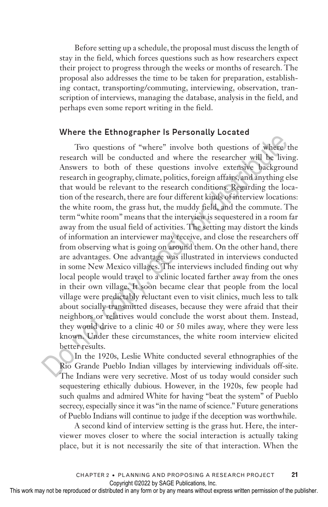Before setting up a schedule, the proposal must discuss the length of stay in the field, which forces questions such as how researchers expect their project to progress through the weeks or months of research. The proposal also addresses the time to be taken for preparation, establishing contact, transporting/commuting, interviewing, observation, transcription of interviews, managing the database, analysis in the field, and perhaps even some report writing in the field.

#### **Where the Ethnographer Is Personally Located**

Two questions of "where" involve both questions of where the research will be conducted and where the researcher will be living. Answers to both of these questions involve extensive background research in geography, climate, politics, foreign affairs, and anything else that would be relevant to the research conditions. Regarding the location of the research, there are four different kinds of interview locations: the white room, the grass hut, the muddy field, and the commute. The term "white room" means that the interview is sequestered in a room far away from the usual field of activities. The setting may distort the kinds of information an interviewer may receive, and close the researchers off from observing what is going on around them. On the other hand, there are advantages. One advantage was illustrated in interviews conducted in some New Mexico villages. The interviews included finding out why local people would travel to a clinic located farther away from the ones in their own village. It soon became clear that people from the local village were predictably reluctant even to visit clinics, much less to talk about socially transmitted diseases, because they were afraid that their neighbors or relatives would conclude the worst about them. Instead, they would drive to a clinic 40 or 50 miles away, where they were less known. Under these circumstances, the white room interview elicited better results. Two questions of "where" inverse the state of whore the state of whore the research will be conducted and where the researcher will be livit<br>Answers to both of these questions involve exterisive backgrou<br>research in geogra

In the 1920s, Leslie White conducted several ethnographies of the Rio Grande Pueblo Indian villages by interviewing individuals off-site. The Indians were very secretive. Most of us today would consider such sequestering ethically dubious. However, in the 1920s, few people had such qualms and admired White for having "beat the system" of Pueblo secrecy, especially since it was "in the name of science." Future generations of Pueblo Indians will continue to judge if the deception was worthwhile.

A second kind of interview setting is the grass hut. Here, the interviewer moves closer to where the social interaction is actually taking place, but it is not necessarily the site of that interaction. When the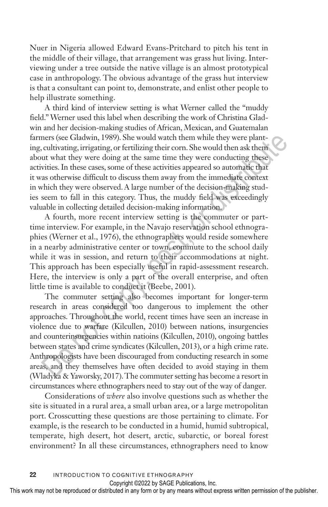Nuer in Nigeria allowed Edward Evans-Pritchard to pitch his tent in the middle of their village, that arrangement was grass hut living. Interviewing under a tree outside the native village is an almost prototypical case in anthropology. The obvious advantage of the grass hut interview is that a consultant can point to, demonstrate, and enlist other people to help illustrate something.

A third kind of interview setting is what Werner called the "muddy field." Werner used this label when describing the work of Christina Gladwin and her decision-making studies of African, Mexican, and Guatemalan farmers (see Gladwin, 1989). She would watch them while they were planting, cultivating, irrigating, or fertilizing their corn. She would then ask them about what they were doing at the same time they were conducting these activities. In these cases, some of these activities appeared so automatic that it was otherwise difficult to discuss them away from the immediate context in which they were observed. A large number of the decision-making studies seem to fall in this category. Thus, the muddy field was exceedingly valuable in collecting detailed decision-making information.

A fourth, more recent interview setting is the commuter or parttime interview. For example, in the Navajo reservation school ethnographies (Werner et al., 1976), the ethnographers would reside somewhere in a nearby administrative center or town, commute to the school daily while it was in session, and return to their accommodations at night. This approach has been especially useful in rapid-assessment research. Here, the interview is only a part of the overall enterprise, and often little time is available to conduct it (Beebe, 2001).

The commuter setting also becomes important for longer-term research in areas considered too dangerous to implement the other approaches. Throughout the world, recent times have seen an increase in violence due to warfare (Kilcullen, 2010) between nations, insurgencies and counterinsurgencies within natioins (Kilcullen, 2010), ongoing battles between states and crime syndicates (Kilcullen, 2013), or a high crime rate. Anthropologists have been discouraged from conducting research in some areas, and they themselves have often decided to avoid staying in them (Wladyka & Yaworsky, 2017). The commuter setting has become a resort in circumstances where ethnographers need to stay out of the way of danger. ners (see Gladwin, 1989). She would watch them while they were plant-<br>cultivating, irrigating, or fertilizing their corn. She would dram ask them<br>went what they were doing at the same time they were conducting these<br>vities

Considerations of *where* also involve questions such as whether the site is situated in a rural area, a small urban area, or a large metropolitan port. Crosscutting these questions are those pertaining to climate. For example, is the research to be conducted in a humid, humid subtropical, temperate, high desert, hot desert, arctic, subarctic, or boreal forest environment? In all these circumstances, ethnographers need to know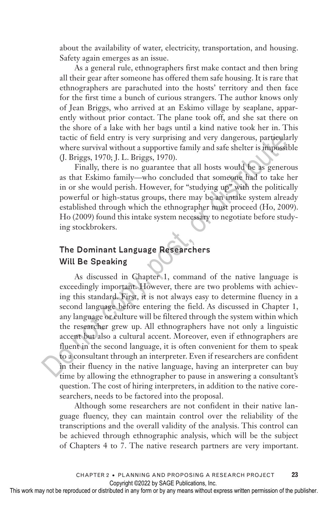about the availability of water, electricity, transportation, and housing. Safety again emerges as an issue.

As a general rule, ethnographers first make contact and then bring all their gear after someone has offered them safe housing. It is rare that ethnographers are parachuted into the hosts' territory and then face for the first time a bunch of curious strangers. The author knows only of Jean Briggs, who arrived at an Eskimo village by seaplane, apparently without prior contact. The plane took off, and she sat there on the shore of a lake with her bags until a kind native took her in. This tactic of field entry is very surprising and very dangerous, particularly where survival without a supportive family and safe shelter is impossible (J. Briggs, 1970; J. L. Briggs, 1970).

Finally, there is no guarantee that all hosts would be as generous as that Eskimo family—who concluded that someone had to take her in or she would perish. However, for "studying up" with the politically powerful or high-status groups, there may be an intake system already established through which the ethnographer must proceed (Ho, 2009). Ho (2009) found this intake system necessary to negotiate before studying stockbrokers.

# **The Dominant Language Researchers Will Be Speaking**

As discussed in Chapter 1, command of the native language is exceedingly important. However, there are two problems with achieving this standard. First, it is not always easy to determine fluency in a second language before entering the field. As discussed in Chapter 1, any language or culture will be filtered through the system within which the researcher grew up. All ethnographers have not only a linguistic accent but also a cultural accent. Moreover, even if ethnographers are fluent in the second language, it is often convenient for them to speak to a consultant through an interpreter. Even if researchers are confident in their fluency in the native language, having an interpreter can buy time by allowing the ethnographer to pause in answering a consultant's question. The cost of hiring interpreters, in addition to the native coresearchers, needs to be factored into the proposal. tactic of field entry is very surprising and very dangerous, particula<br>where survival without a supportive family and safe shelter is impossi<br>
(J. Briggs, 1970; J. L. Briggs, 1970).<br>
Finally, there is no guarantee that all

Although some researchers are not confident in their native language fluency, they can maintain control over the reliability of the transcriptions and the overall validity of the analysis. This control can be achieved through ethnographic analysis, which will be the subject of Chapters 4 to 7. The native research partners are very important.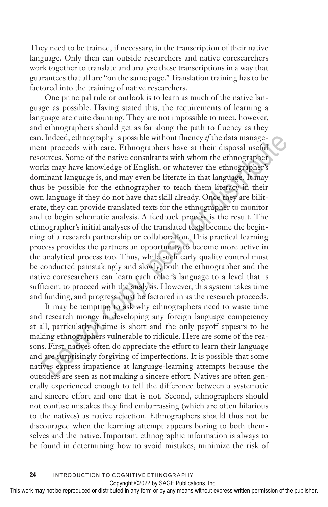They need to be trained, if necessary, in the transcription of their native language. Only then can outside researchers and native coresearchers work together to translate and analyze these transcriptions in a way that guarantees that all are "on the same page." Translation training has to be factored into the training of native researchers.

One principal rule or outlook is to learn as much of the native language as possible. Having stated this, the requirements of learning a language are quite daunting. They are not impossible to meet, however, and ethnographers should get as far along the path to fluency as they can. Indeed, ethnography is possible without fluency *if* the data management proceeds with care. Ethnographers have at their disposal useful resources. Some of the native consultants with whom the ethnographer works may have knowledge of English, or whatever the ethnographer's dominant language is, and may even be literate in that language. It may thus be possible for the ethnographer to teach them literacy in their own language if they do not have that skill already. Once they are biliterate, they can provide translated texts for the ethnographer to monitor and to begin schematic analysis. A feedback process is the result. The ethnographer's initial analyses of the translated texts become the beginning of a research partnership or collaboration. This practical learning process provides the partners an opportunity to become more active in the analytical process too. Thus, while such early quality control must be conducted painstakingly and slowly, both the ethnographer and the native coresearchers can learn each other's language to a level that is sufficient to proceed with the analysis. However, this system takes time and funding, and progress must be factored in as the research proceeds. . Indeed, ethnography is possible without fluency *if* the data manage-<br>th roceeds with care. Ethnographer shave at their disposal useful<br>cources. Some of the native consultants with whom the ethnographer's<br>ris may have k

It may be tempting to ask why ethnographers need to waste time and research money in developing any foreign language competency at all, particularly if time is short and the only payoff appears to be making ethnographers vulnerable to ridicule. Here are some of the reasons. First, natives often do appreciate the effort to learn their language and are surprisingly forgiving of imperfections. It is possible that some natives express impatience at language-learning attempts because the outsiders are seen as not making a sincere effort. Natives are often generally experienced enough to tell the difference between a systematic and sincere effort and one that is not. Second, ethnographers should not confuse mistakes they find embarrassing (which are often hilarious to the natives) as native rejection. Ethnographers should thus not be discouraged when the learning attempt appears boring to both themselves and the native. Important ethnographic information is always to be found in determining how to avoid mistakes, minimize the risk of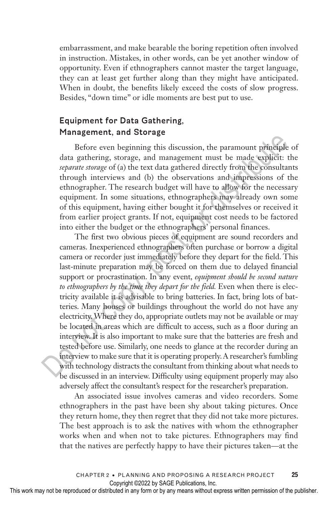embarrassment, and make bearable the boring repetition often involved in instruction. Mistakes, in other words, can be yet another window of opportunity. Even if ethnographers cannot master the target language, they can at least get further along than they might have anticipated. When in doubt, the benefits likely exceed the costs of slow progress. Besides, "down time" or idle moments are best put to use.

## **Equipment for Data Gathering, Management, and Storage**

Before even beginning this discussion, the paramount principle of data gathering, storage, and management must be made explicit: the *separate storage* of (a) the text data gathered directly from the consultants through interviews and (b) the observations and impressions of the ethnographer. The research budget will have to allow for the necessary equipment. In some situations, ethnographers may already own some of this equipment, having either bought it for themselves or received it from earlier project grants. If not, equipment cost needs to be factored into either the budget or the ethnographers' personal finances.

The first two obvious pieces of equipment are sound recorders and cameras. Inexperienced ethnographers often purchase or borrow a digital camera or recorder just immediately before they depart for the field. This last-minute preparation may be forced on them due to delayed financial support or procrastination. In any event, *equipment should be second nature to ethnographers by the time they depart for the field.* Even when there is electricity available it is advisable to bring batteries. In fact, bring lots of batteries. Many houses or buildings throughout the world do not have any electricity. Where they do, appropriate outlets may not be available or may be located in areas which are difficult to access, such as a floor during an interview. It is also important to make sure that the batteries are fresh and tested before use. Similarly, one needs to glance at the recorder during an interview to make sure that it is operating properly. A researcher's fumbling with technology distracts the consultant from thinking about what needs to be discussed in an interview. Difficulty using equipment properly may also adversely affect the consultant's respect for the researcher's preparation. Fraction controllary and several technology distribute of everal effects are proprinted as a gathering, storage, and management must be made explicit: *separate storage* of (a) the text data gathered directly from the con

An associated issue involves cameras and video recorders. Some ethnographers in the past have been shy about taking pictures. Once they return home, they then regret that they did not take more pictures. The best approach is to ask the natives with whom the ethnographer works when and when not to take pictures. Ethnographers may find that the natives are perfectly happy to have their pictures taken—at the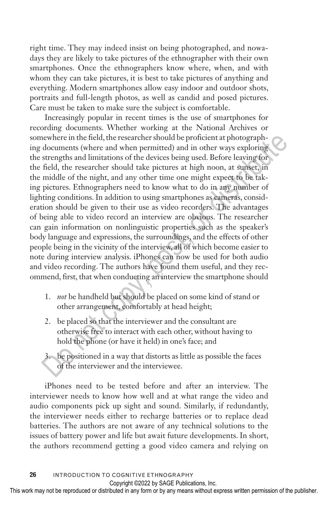right time. They may indeed insist on being photographed, and nowadays they are likely to take pictures of the ethnographer with their own smartphones. Once the ethnographers know where, when, and with whom they can take pictures, it is best to take pictures of anything and everything. Modern smartphones allow easy indoor and outdoor shots, portraits and full-length photos, as well as candid and posed pictures. Care must be taken to make sure the subject is comfortable.

Increasingly popular in recent times is the use of smartphones for recording documents. Whether working at the National Archives or somewhere in the field, the researcher should be proficient at photographing documents (where and when permitted) and in other ways exploring the strengths and limitations of the devices being used. Before leaving for the field, the researcher should take pictures at high noon, at sunset, in the middle of the night, and any other time one might expect to be taking pictures. Ethnographers need to know what to do in any number of lighting conditions. In addition to using smartphones as cameras, consideration should be given to their use as video recorders. The advantages of being able to video record an interview are obvious. The researcher can gain information on nonlinguistic properties such as the speaker's body language and expressions, the surroundings, and the effects of other people being in the vicinity of the interview, all of which become easier to note during interview analysis. iPhones can now be used for both audio and video recording. The authors have found them useful, and they recommend, first, that when conducting an interview the smartphone should Equals the researcher should be proficient at photographed comments (where and when permitted) and in other ways exploring sterngths and limitations of the devices being used. Before leaving for field, the researcher shou

- 1. *not* be handheld but should be placed on some kind of stand or other arrangement, comfortably at head height;
- 2. be placed so that the interviewer and the consultant are otherwise free to interact with each other, without having to hold the phone (or have it held) in one's face; and
- 3. be positioned in a way that distorts as little as possible the faces of the interviewer and the interviewee.

iPhones need to be tested before and after an interview. The interviewer needs to know how well and at what range the video and audio components pick up sight and sound. Similarly, if redundantly, the interviewer needs either to recharge batteries or to replace dead batteries. The authors are not aware of any technical solutions to the issues of battery power and life but await future developments. In short, the authors recommend getting a good video camera and relying on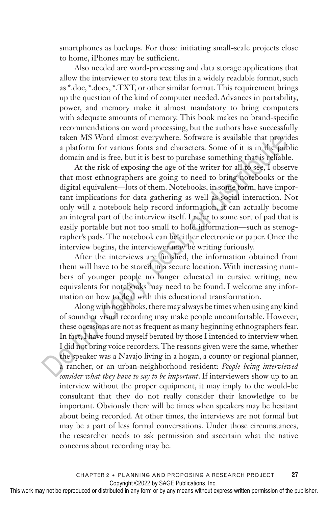smartphones as backups. For those initiating small-scale projects close to home, iPhones may be sufficient.

Also needed are word-processing and data storage applications that allow the interviewer to store text files in a widely readable format, such as \*.doc, \*.docx, \*.TXT, or other similar format. This requirement brings up the question of the kind of computer needed. Advances in portability, power, and memory make it almost mandatory to bring computers with adequate amounts of memory. This book makes no brand-specific recommendations on word processing, but the authors have successfully taken MS Word almost everywhere. Software is available that provides a platform for various fonts and characters. Some of it is in the public domain and is free, but it is best to purchase something that is reliable.

At the risk of exposing the age of the writer for all to see, I observe that most ethnographers are going to need to bring notebooks or the digital equivalent—lots of them. Notebooks, in some form, have important implications for data gathering as well as social interaction. Not only will a notebook help record information, it can actually become an integral part of the interview itself. I refer to some sort of pad that is easily portable but not too small to hold information—such as stenographer's pads. The notebook can be either electronic or paper. Once the interview begins, the interviewer may be writing furiously. taken MS Word almost everywhere. Software is available that provideal part<br>or a platform for various fonts and characters. Some of it is in the puble<br>domain and is free, but it is best to purchase something that is reliabl

After the interviews are finished, the information obtained from them will have to be stored in a secure location. With increasing numbers of younger people no longer educated in cursive writing, new equivalents for notebooks may need to be found. I welcome any information on how to deal with this educational transformation.

Along with notebooks, there may always be times when using any kind of sound or visual recording may make people uncomfortable. However, these occasions are not as frequent as many beginning ethnographers fear. In fact, I have found myself berated by those I intended to interview when I did not bring voice recorders. The reasons given were the same, whether the speaker was a Navajo living in a hogan, a county or regional planner, a rancher, or an urban-neighborhood resident: *People being interviewed consider what they have to say to be important*. If interviewers show up to an interview without the proper equipment, it may imply to the would-be consultant that they do not really consider their knowledge to be important. Obviously there will be times when speakers may be hesitant about being recorded. At other times, the interviews are not formal but may be a part of less formal conversations. Under those circumstances, the researcher needs to ask permission and ascertain what the native concerns about recording may be.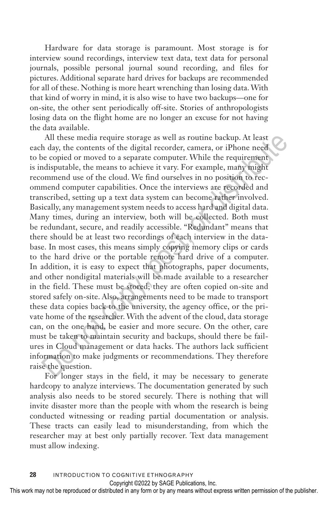Hardware for data storage is paramount. Most storage is for interview sound recordings, interview text data, text data for personal journals, possible personal journal sound recording, and files for pictures. Additional separate hard drives for backups are recommended for all of these. Nothing is more heart wrenching than losing data. With that kind of worry in mind, it is also wise to have two backups—one for on-site, the other sent periodically off-site. Stories of anthropologists losing data on the flight home are no longer an excuse for not having the data available.

All these media require storage as well as routine backup. At least each day, the contents of the digital recorder, camera, or iPhone need to be copied or moved to a separate computer. While the requirement is indisputable, the means to achieve it vary. For example, many might recommend use of the cloud. We find ourselves in no position to recommend computer capabilities. Once the interviews are recorded and transcribed, setting up a text data system can become rather involved. Basically, any management system needs to access hard and digital data. Many times, during an interview, both will be collected. Both must be redundant, secure, and readily accessible. "Redundant" means that there should be at least two recordings of each interview in the database. In most cases, this means simply copying memory clips or cards to the hard drive or the portable remote hard drive of a computer. In addition, it is easy to expect that photographs, paper documents, and other nondigital materials will be made available to a researcher in the field. These must be stored; they are often copied on-site and stored safely on-site. Also, arrangements need to be made to transport these data copies back to the university, the agency office, or the private home of the researcher. With the advent of the cloud, data storage can, on the one hand, be easier and more secure. On the other, care must be taken to maintain security and backups, should there be failures in Cloud management or data hacks. The authors lack sufficient information to make judgments or recommendations. They therefore raise the question. All these media require storage as well as routine backup. At least<br>he day, the contents of the digital recorder, camera, or iPhone need<br>os copied or moved to a separate computer. While the requirement<br>disputable, the mean

For longer stays in the field, it may be necessary to generate hardcopy to analyze interviews. The documentation generated by such analysis also needs to be stored securely. There is nothing that will invite disaster more than the people with whom the research is being conducted witnessing or reading partial documentation or analysis. These tracts can easily lead to misunderstanding, from which the researcher may at best only partially recover. Text data management must allow indexing.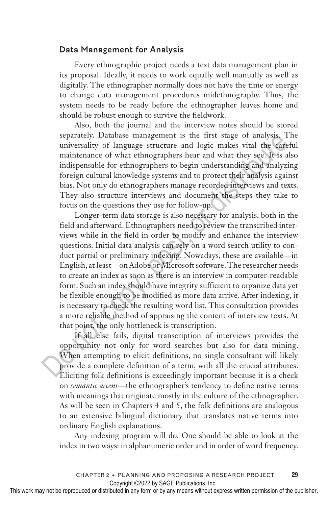### **Data Management for Analysis**

Every ethnographic project needs a text data management plan in its proposal. Ideally, it needs to work equally well manually as well as digitally. The ethnographer normally does not have the time or energy to change data management procedures midethnography. Thus, the system needs to be ready before the ethnographer leaves home and should be robust enough to survive the fieldwork.

Also, both the journal and the interview notes should be stored separately. Database management is the first stage of analysis. The universality of language structure and logic makes vital the careful maintenance of what ethnographers hear and what they see. It is also indispensable for ethnographers to begin understanding and analyzing foreign cultural knowledge systems and to protect their analysis against bias. Not only do ethnographers manage recorded interviews and texts. They also structure interviews and document the steps they take to focus on the questions they use for follow-up.

Longer-term data storage is also necessary for analysis, both in the field and afterward. Ethnographers need to review the transcribed interviews while in the field in order to modify and enhance the interview questions. Initial data analysis can rely on a word search utility to conduct partial or preliminary indexing. Nowadays, these are available—in English, at least—on Adobe or Microsoft software. The researcher needs to create an index as soon as there is an interview in computer-readable form. Such an index should have integrity sufficient to organize data yet be flexible enough to be modified as more data arrive. After indexing, it is necessary to check the resulting word list. This consultation provides a more reliable method of appraising the content of interview texts. At that point, the only bottleneck is transcription. separately. Database management is the trist stage of analysis. I<br>universality of language structure and logic makes vial the carte<br>maintenance of what ethnographers hear and what they see. It is a<br>indispensable for ethnog

If all else fails, digital transcription of interviews provides the opportunity not only for word searches but also for data mining. When attempting to elicit definitions, no single consultant will likely provide a complete definition of a term, with all the crucial attributes. Eliciting folk definitions is exceedingly important because it is a check on *semantic accent*—the ethnographer's tendency to define native terms with meanings that originate mostly in the culture of the ethnographer. As will be seen in Chapters 4 and 5, the folk definitions are analogous to an extensive bilingual dictionary that translates native terms into ordinary English explanations.

Any indexing program will do. One should be able to look at the index in two ways: in alphanumeric order and in order of word frequency.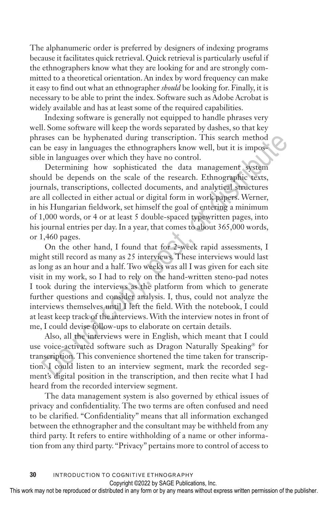The alphanumeric order is preferred by designers of indexing programs because it facilitates quick retrieval. Quick retrieval is particularly useful if the ethnographers know what they are looking for and are strongly committed to a theoretical orientation. An index by word frequency can make it easy to find out what an ethnographer *should* be looking for. Finally, it is necessary to be able to print the index. Software such as Adobe Acrobat is widely available and has at least some of the required capabilities.

Indexing software is generally not equipped to handle phrases very well. Some software will keep the words separated by dashes, so that key phrases can be hyphenated during transcription. This search method can be easy in languages the ethnographers know well, but it is impossible in languages over which they have no control.

Determining how sophisticated the data management system should be depends on the scale of the research. Ethnographic texts, journals, transcriptions, collected documents, and analytical structures are all collected in either actual or digital form in work papers. Werner, in his Hungarian fieldwork, set himself the goal of entering a minimum of 1,000 words, or 4 or at least 5 double-spaced typewritten pages, into his journal entries per day. In a year, that comes to about 365,000 words, or 1,460 pages.

On the other hand, I found that for 2-week rapid assessments, I might still record as many as 25 interviews. These interviews would last as long as an hour and a half. Two weeks was all I was given for each site visit in my work, so I had to rely on the hand-written steno-pad notes I took during the interviews as the platform from which to generate further questions and consider analysis. I, thus, could not analyze the interviews themselves until I left the field. With the notebook, I could at least keep track of the interviews. With the interview notes in front of me, I could devise follow-ups to elaborate on certain details. asses can be hyphenated during transcription. This search method<br>be easy in languages the ethnographers know well, but it is impos-<br>e in languages over which they have no control.<br>Determining how sophisticated the data man

Also, all the interviews were in English, which meant that I could use voice-activated software such as Dragon Naturally Speaking® for transcription. This convenience shortened the time taken for transcription. I could listen to an interview segment, mark the recorded segment's digital position in the transcription, and then recite what I had heard from the recorded interview segment.

The data management system is also governed by ethical issues of privacy and confidentiality. The two terms are often confused and need to be clarified. "Confidentiality" means that all information exchanged between the ethnographer and the consultant may be withheld from any third party. It refers to entire withholding of a name or other information from any third party. "Privacy" pertains more to control of access to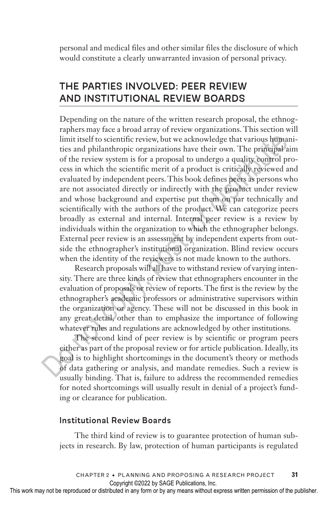personal and medical files and other similar files the disclosure of which would constitute a clearly unwarranted invasion of personal privacy.

# **THE PARTIES INVOLVED: PEER REVIEW AND INSTITUTIONAL REVIEW BOARDS**

Depending on the nature of the written research proposal, the ethnographers may face a broad array of review organizations. This section will limit itself to scientific review, but we acknowledge that various humanities and philanthropic organizations have their own. The principal aim of the review system is for a proposal to undergo a quality control process in which the scientific merit of a product is critically reviewed and evaluated by independent peers. This book defines peers as persons who are not associated directly or indirectly with the product under review and whose background and expertise put them on par technically and scientifically with the authors of the product. We can categorize peers broadly as external and internal. Internal peer review is a review by individuals within the organization to which the ethnographer belongs. External peer review is an assessment by independent experts from outside the ethnographer's institutional organization. Blind review occurs when the identity of the reviewers is not made known to the authors. limit itself to scientific review, but we acknowledge that various huma<br>ties and philanthropic organizations have their own. The principal a<br>of the review system is for a proposal to undergo a quality control p<br>or descens

Research proposals will all have to withstand review of varying intensity. There are three kinds of review that ethnographers encounter in the evaluation of proposals or review of reports. The first is the review by the ethnographer's academic professors or administrative supervisors within the organization or agency. These will not be discussed in this book in any great detail, other than to emphasize the importance of following whatever rules and regulations are acknowledged by other institutions.

The second kind of peer review is by scientific or program peers either as part of the proposal review or for article publication. Ideally, its goal is to highlight shortcomings in the document's theory or methods of data gathering or analysis, and mandate remedies. Such a review is usually binding. That is, failure to address the recommended remedies for noted shortcomings will usually result in denial of a project's funding or clearance for publication.

## **Institutional Review Boards**

The third kind of review is to guarantee protection of human subjects in research. By law, protection of human participants is regulated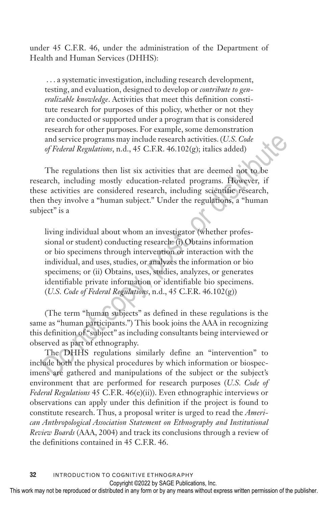under 45 C.F.R. 46, under the administration of the Department of Health and Human Services (DHHS):

 . . . a systematic investigation, including research development, testing, and evaluation, designed to develop or *contribute to generalizable knowledge*. Activities that meet this definition constitute research for purposes of this policy, whether or not they are conducted or supported under a program that is considered research for other purposes. For example, some demonstration and service programs may include research activities. (*U.S. Code of Federal Regulations*, n.d., 45 C.F.R. 46.102(g); italics added)

The regulations then list six activities that are deemed not to be research, including mostly education-related programs. However, if these activities are considered research, including scientific research, then they involve a "human subject." Under the regulations, a "human subject" is a

living individual about whom an investigator (whether professional or student) conducting research: (i) Obtains information or bio specimens through intervention or interaction with the individual, and uses, studies, or analyzes the information or bio specimens; or (ii) Obtains, uses, studies, analyzes, or generates identifiable private information or identifiable bio specimens. (*U.S. Code of Federal Regulations*, n.d., 45 C.F.R. 46.102(g)) and service programs may include research activities. (U.S. Code<br>of Federal Regulations, n.d., 45 C.F.R. 46.102(g); italics added)<br>The regulations then list six activities that are deemed not to be<br>earch, including mostly

(The term "human subjects" as defined in these regulations is the same as "human participants.") This book joins the AAA in recognizing this definition of "subject" as including consultants being interviewed or observed as part of ethnography.

The DHHS regulations similarly define an "intervention" to include both the physical procedures by which information or biospecimens are gathered and manipulations of the subject or the subject's environment that are performed for research purposes (*U.S. Code of Federal Regulations* 45 C.F.R. 46(e)(ii)). Even ethnographic interviews or observations can apply under this definition if the project is found to constitute research. Thus, a proposal writer is urged to read the *American Anthropological Association Statement on Ethnography and Institutional Review Boards* (AAA, 2004) and track its conclusions through a review of the definitions contained in 45 C.F.R. 46.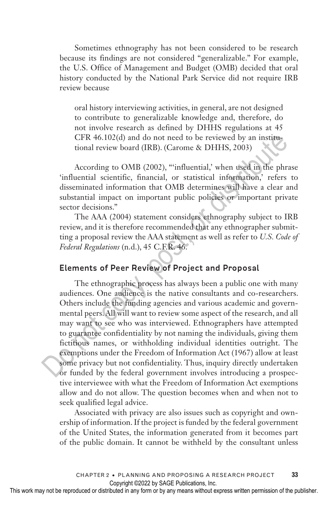Sometimes ethnography has not been considered to be research because its findings are not considered "generalizable." For example, the U.S. Office of Management and Budget (OMB) decided that oral history conducted by the National Park Service did not require IRB review because

oral history interviewing activities, in general, are not designed to contribute to generalizable knowledge and, therefore, do not involve research as defined by DHHS regulations at 45 CFR 46.102(d) and do not need to be reviewed by an institutional review board (IRB). (Carome & DHHS, 2003)

According to OMB (2002), "'influential,' when used in the phrase 'influential scientific, financial, or statistical information,' refers to disseminated information that OMB determines will have a clear and substantial impact on important public policies or important private sector decisions."

The AAA (2004) statement considers ethnography subject to IRB review, and it is therefore recommended that any ethnographer submitting a proposal review the AAA statement as well as refer to *U.S. Code of Federal Regulations* (n.d.), 45 C.F.R. 46.

## **Elements of Peer Review of Project and Proposal**

The ethnographic process has always been a public one with many audiences. One audience is the native consultants and co-researchers. Others include the funding agencies and various academic and governmental peers. All will want to review some aspect of the research, and all may want to see who was interviewed. Ethnographers have attempted to guarantee confidentiality by not naming the individuals, giving them fictitious names, or withholding individual identities outright. The exemptions under the Freedom of Information Act (1967) allow at least some privacy but not confidentiality. Thus, inquiry directly undertaken or funded by the federal government involves introducing a prospective interviewee with what the Freedom of Information Act exemptions allow and do not allow. The question becomes when and when not to seek qualified legal advice. CFR 46.102(d) and do not need to be reviewed by an institutional review board (IRB). (Carome & DHHS, 2003)<br>
According to OMB (2002), "influential," when used in the phr.<br>
'influential scientific, financial, or statistical

Associated with privacy are also issues such as copyright and ownership of information. If the project is funded by the federal government of the United States, the information generated from it becomes part of the public domain. It cannot be withheld by the consultant unless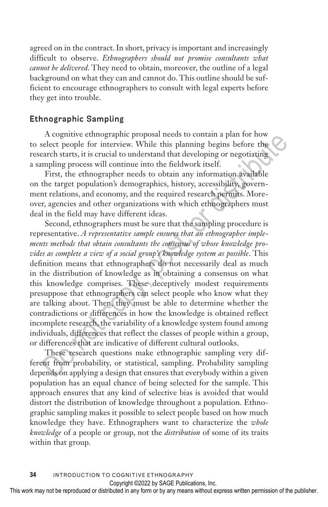agreed on in the contract. In short, privacy is important and increasingly difficult to observe. *Ethnographers should not promise consultants what cannot be delivered*. They need to obtain, moreover, the outline of a legal background on what they can and cannot do. This outline should be sufficient to encourage ethnographers to consult with legal experts before they get into trouble.

## **Ethnographic Sampling**

A cognitive ethnographic proposal needs to contain a plan for how to select people for interview. While this planning begins before the research starts, it is crucial to understand that developing or negotiating a sampling process will continue into the fieldwork itself.

First, the ethnographer needs to obtain any information available on the target population's demographics, history, accessibility, government relations, and economy, and the required research permits. Moreover, agencies and other organizations with which ethnographers must deal in the field may have different ideas.

Second, ethnographers must be sure that the sampling procedure is representative. *A representative sample ensures that an ethnographer implements methods that obtain consultants the consensus of whose knowledge provides as complete a view of a social group's knowledge system as possible*. This definition means that ethnographers do not necessarily deal as much in the distribution of knowledge as in obtaining a consensus on what this knowledge comprises. These deceptively modest requirements presuppose that ethnographers can select people who know what they are talking about. Then, they must be able to determine whether the contradictions or differences in how the knowledge is obtained reflect incomplete research, the variability of a knowledge system found among individuals, differences that reflect the classes of people within a group, or differences that are indicative of different cultural outlooks. A communic proposal needas to contain a pain for no<br>exlect prope for interview. While this planning begins before the<br>select prope for interview. While this planning begins before the<br>arch starts, it is crucial to understa

These research questions make ethnographic sampling very different from probability, or statistical, sampling. Probability sampling depends on applying a design that ensures that everybody within a given population has an equal chance of being selected for the sample. This approach ensures that any kind of selective bias is avoided that would distort the distribution of knowledge throughout a population. Ethnographic sampling makes it possible to select people based on how much knowledge they have. Ethnographers want to characterize the *whole knowledge* of a people or group, not the *distribution* of some of its traits within that group.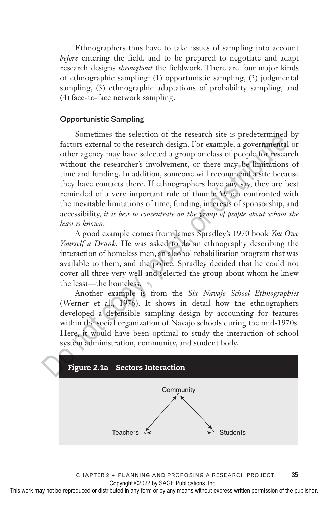Ethnographers thus have to take issues of sampling into account *before* entering the field, and to be prepared to negotiate and adapt research designs *throughout* the fieldwork. There are four major kinds of ethnographic sampling: (1) opportunistic sampling, (2) judgmental sampling, (3) ethnographic adaptations of probability sampling, and (4) face-to-face network sampling.

#### **Opportunistic Sampling**

Sometimes the selection of the research site is predetermined by factors external to the research design. For example, a governmental or other agency may have selected a group or class of people for research without the researcher's involvement, or there may be limitations of time and funding. In addition, someone will recommend a site because they have contacts there. If ethnographers have any say, they are best reminded of a very important rule of thumb: When confronted with the inevitable limitations of time, funding, interests of sponsorship, and accessibility, *it is best to concentrate on the group of people about whom the least is known*. Sometimes the estection of the research sites piecenemined<br>factors external to the research of the research step. For example, a governmental<br>other agency may have selected a group or class of people for reseau<br>without th

A good example comes from James Spradley's 1970 book *You Owe Yourself a Drunk.* He was asked to do an ethnography describing the interaction of homeless men, an alcohol rehabilitation program that was available to them, and the police. Spradley decided that he could not cover all three very well and selected the group about whom he knew the least—the homeless.

Another example is from the *Six Navajo School Ethnographies* (Werner et al., 1976). It shows in detail how the ethnographers developed a defensible sampling design by accounting for features within the social organization of Navajo schools during the mid-1970s. Here, it would have been optimal to study the interaction of school system administration, community, and student body.



Chapter 2 • Planning and Proposing a Research Project **35** Copyright ©2022 by SAGE Publications, Inc.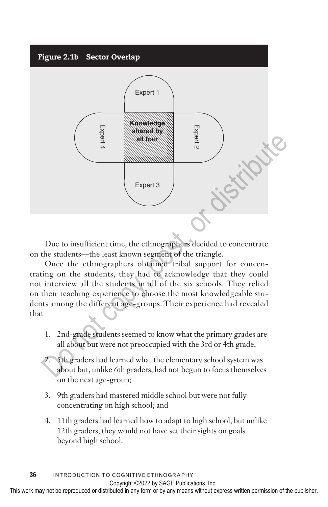

Due to insufficient time, the ethnographers decided to concentrate on the students—the least known segment of the triangle.

Once the ethnographers obtained tribal support for concentrating on the students, they had to acknowledge that they could not interview all the students in all of the six schools. They relied on their teaching experience to choose the most knowledgeable students among the different age-groups. Their experience had revealed that

- 1. 2nd-grade students seemed to know what the primary grades are all about but were not preoccupied with the 3rd or 4th grade;
- 2. 5th graders had learned what the elementary school system was about but, unlike 6th graders, had not begun to focus themselves on the next age-group;
- 3. 9th graders had mastered middle school but were not fully concentrating on high school; and
- 4. 11th graders had learned how to adapt to high school, but unlike 12th graders, they would not have set their sights on goals beyond high school.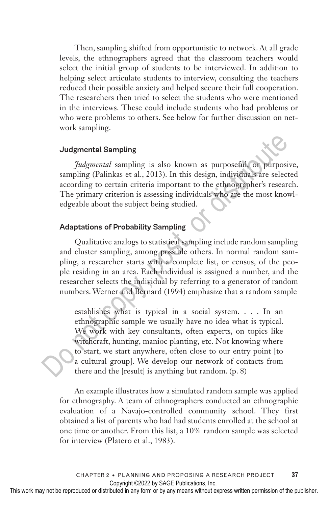Then, sampling shifted from opportunistic to network. At all grade levels, the ethnographers agreed that the classroom teachers would select the initial group of students to be interviewed. In addition to helping select articulate students to interview, consulting the teachers reduced their possible anxiety and helped secure their full cooperation. The researchers then tried to select the students who were mentioned in the interviews. These could include students who had problems or who were problems to others. See below for further discussion on network sampling.

#### **Judgmental Sampling**

*Judgmental* sampling is also known as purposeful, or purposive, sampling (Palinkas et al., 2013). In this design, individuals are selected according to certain criteria important to the ethnographer's research. The primary criterion is assessing individuals who are the most knowledgeable about the subject being studied.

# **Adaptations of Probability Sampling**

Qualitative analogs to statistical sampling include random sampling and cluster sampling, among possible others. In normal random sampling, a researcher starts with a complete list, or census, of the people residing in an area. Each individual is assigned a number, and the researcher selects the individual by referring to a generator of random numbers. Werner and Bernard (1994) emphasize that a random sample

establishes what is typical in a social system. . . . In an ethnographic sample we usually have no idea what is typical. We work with key consultants, often experts, on topics like witchcraft, hunting, manioc planting, etc. Not knowing where to start, we start anywhere, often close to our entry point [to a cultural group]. We develop our network of contacts from there and the [result] is anything but random. (p. 8) **Judgmental Sampling**<br> **Tudgmental sampling** is also known as purposeful, or purposi<br>
sampling (Palinkas et al., 2013). In this design, individuals are select<br>
according to certain circina important to the ethnographer's

An example illustrates how a simulated random sample was applied for ethnography. A team of ethnographers conducted an ethnographic evaluation of a Navajo-controlled community school. They first obtained a list of parents who had had students enrolled at the school at one time or another. From this list, a 10% random sample was selected for interview (Platero et al., 1983).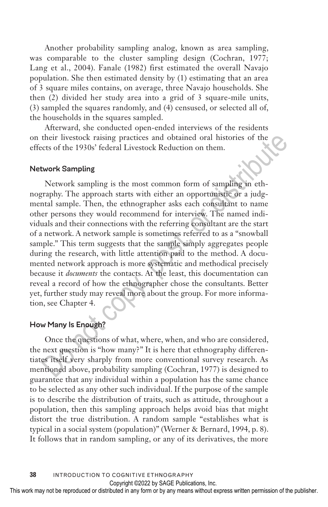Another probability sampling analog, known as area sampling, was comparable to the cluster sampling design (Cochran, 1977; Lang et al., 2004). Fanale (1982) first estimated the overall Navajo population. She then estimated density by (1) estimating that an area of 3 square miles contains, on average, three Navajo households. She then (2) divided her study area into a grid of 3 square-mile units, (3) sampled the squares randomly, and (4) censused, or selected all of, the households in the squares sampled.

Afterward, she conducted open-ended interviews of the residents on their livestock raising practices and obtained oral histories of the effects of the 1930s' federal Livestock Reduction on them.

#### **Network Sampling**

Network sampling is the most common form of sampling in ethnography. The approach starts with either an opportunistic or a judgmental sample. Then, the ethnographer asks each consultant to name other persons they would recommend for interview. The named individuals and their connections with the referring consultant are the start of a network. A network sample is sometimes referred to as a "snowball sample." This term suggests that the sample simply aggregates people during the research, with little attention paid to the method. A documented network approach is more systematic and methodical precisely because it *documents* the contacts. At the least, this documentation can reveal a record of how the ethnographer chose the consultants. Better yet, further study may reveal more about the group. For more information, see Chapter 4. their livestock raising practices and obtained oral histories of the<br>
rects of the 1930s' federal Livestock Reduction on them.<br> **twork Sampling**<br>
Network sampling is the most common form of sampling in eth-<br>
reprodited are

#### **How Many Is Enough?**

Once the questions of what, where, when, and who are considered, the next question is "how many?" It is here that ethnography differentiates itself very sharply from more conventional survey research. As mentioned above, probability sampling (Cochran, 1977) is designed to guarantee that any individual within a population has the same chance to be selected as any other such individual. If the purpose of the sample is to describe the distribution of traits, such as attitude, throughout a population, then this sampling approach helps avoid bias that might distort the true distribution. A random sample "establishes what is typical in a social system (population)" (Werner & Bernard, 1994, p. 8). It follows that in random sampling, or any of its derivatives, the more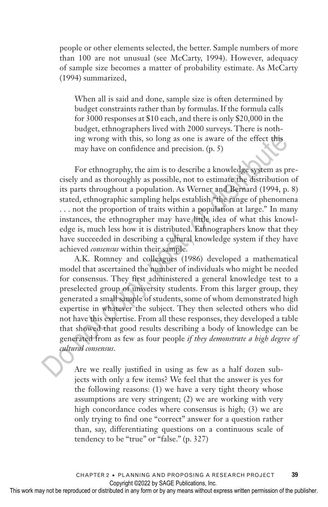people or other elements selected, the better. Sample numbers of more than 100 are not unusual (see McCarty, 1994). However, adequacy of sample size becomes a matter of probability estimate. As McCarty (1994) summarized,

When all is said and done, sample size is often determined by budget constraints rather than by formulas. If the formula calls for 3000 responses at \$10 each, and there is only \$20,000 in the budget, ethnographers lived with 2000 surveys. There is nothing wrong with this, so long as one is aware of the effect this may have on confidence and precision. (p. 5)

For ethnography, the aim is to describe a knowledge system as precisely and as thoroughly as possible, not to estimate the distribution of its parts throughout a population. As Werner and Bernard (1994, p. 8) stated, ethnographic sampling helps establish "the range of phenomena . . . not the proportion of traits within a population at large." In many instances, the ethnographer may have little idea of what this knowledge is, much less how it is distributed. Ethnographers know that they have succeeded in describing a cultural knowledge system if they have achieved *consensus* within their sample.

A.K. Romney and colleagues (1986) developed a mathematical model that ascertained the number of individuals who might be needed for consensus. They first administered a general knowledge test to a preselected group of university students. From this larger group, they generated a small sample of students, some of whom demonstrated high expertise in whatever the subject. They then selected others who did not have this expertise. From all these responses, they developed a table that showed that good results describing a body of knowledge can be generated from as few as four people *if they demonstrate a high degree of cultural consensus*. ing wrong with this, so long as one is aware of the effect this<br>may have on confidence and precision. (p. 5)<br>For ethnography, the aim is to describe a knowledge system as p<br>cisely and as thoroughly as possible, not to est

Are we really justified in using as few as a half dozen subjects with only a few items? We feel that the answer is yes for the following reasons: (1) we have a very tight theory whose assumptions are very stringent; (2) we are working with very high concordance codes where consensus is high; (3) we are only trying to find one "correct" answer for a question rather than, say, differentiating questions on a continuous scale of tendency to be "true" or "false." (p. 327)